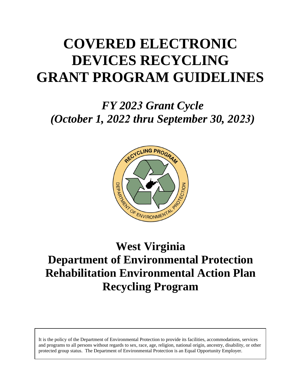# **COVERED ELECTRONIC DEVICES RECYCLING GRANT PROGRAM GUIDELINES**

*FY 2023 Grant Cycle (October 1, 2022 thru September 30, 2023)*



# **West Virginia Department of Environmental Protection Rehabilitation Environmental Action Plan Recycling Program**

and programs to all persons without regards to sex, race, age, religion, national origin, ancestry, disability, or other<br>and programs to all persons without regards to sex, race, age, religion, national origin, ancestry, d It is the policy of the Department of Environmental Protection to provide its facilities, accommodations, services protected group status. The Department of Environmental Protection is an Equal Opportunity Employer.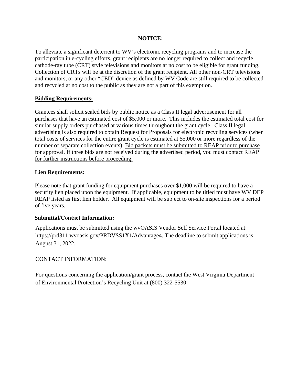#### **NOTICE:**

To alleviate a significant deterrent to WV's electronic recycling programs and to increase the participation in e-cycling efforts, grant recipients are no longer required to collect and recycle cathode-ray tube (CRT) style televisions and monitors at no cost to be eligible for grant funding. Collection of CRTs will be at the discretion of the grant recipient. All other non-CRT televisions and monitors, or any other "CED" device as defined by WV Code are still required to be collected and recycled at no cost to the public as they are not a part of this exemption.

#### **Bidding Requirements:**

Grantees shall solicit sealed bids by public notice as a Class II legal advertisement for all purchases that have an estimated cost of \$5,000 or more. This includes the estimated total cost for similar supply orders purchased at various times throughout the grant cycle. Class II legal advertising is also required to obtain Request for Proposals for electronic recycling services (when total costs of services for the entire grant cycle is estimated at \$5,000 or more regardless of the number of separate collection events). Bid packets must be submitted to REAP prior to purchase for approval. If three bids are not received during the advertised period, you must contact REAP for further instructions before proceeding.

#### **Lien Requirements:**

Please note that grant funding for equipment purchases over \$1,000 will be required to have a security lien placed upon the equipment. If applicable, equipment to be titled must have WV DEP REAP listed as first lien holder. All equipment will be subject to on-site inspections for a period of five years.

#### **Submittal/Contact Information:**

Applications must be submitted using the wvOASIS Vendor Self Service Portal located at: https://prd311.wvoasis.gov/PRDVSS1X1/Advantage4. The deadline to submit applications is August 31, 2022.

#### CONTACT INFORMATION:

For questions concerning the application/grant process, contact the West Virginia Department of Environmental Protection's Recycling Unit at (800) [322-5530](mailto:depreapgrants@wv.gov).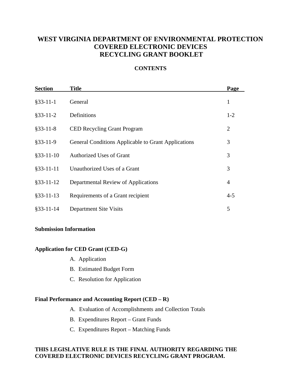### **WEST VIRGINIA DEPARTMENT OF ENVIRONMENTAL PROTECTION COVERED ELECTRONIC DEVICES RECYCLING GRANT BOOKLET**

#### **CONTENTS**

| <b>Section</b> | <b>Title</b>                                               | Page    |
|----------------|------------------------------------------------------------|---------|
| $§$ 33-11-1    | General                                                    | 1       |
| $§$ 33-11-2    | Definitions                                                | $1-2$   |
| $§$ 33-11-8    | <b>CED Recycling Grant Program</b>                         | 2       |
| $§$ 33-11-9    | <b>General Conditions Applicable to Grant Applications</b> | 3       |
| $§$ 33-11-10   | <b>Authorized Uses of Grant</b>                            | 3       |
| $§$ 33-11-11   | Unauthorized Uses of a Grant                               | 3       |
| $§$ 33-11-12   | Departmental Review of Applications                        | 4       |
| $§$ 33-11-13   | Requirements of a Grant recipient                          | $4 - 5$ |
| $§$ 33-11-14   | <b>Department Site Visits</b>                              | 5       |

#### **Submission Information**

#### **Application for CED Grant (CED-G)**

- A. Application
- B. Estimated Budget Form
- C. Resolution for Application

#### **Final Performance and Accounting Report (CED – R)**

- A. Evaluation of Accomplishments and Collection Totals
- B. Expenditures Report Grant Funds
- C. Expenditures Report Matching Funds

#### **THIS LEGISLATIVE RULE IS THE FINAL AUTHORITY REGARDING THE COVERED ELECTRONIC DEVICES RECYCLING GRANT PROGRAM.**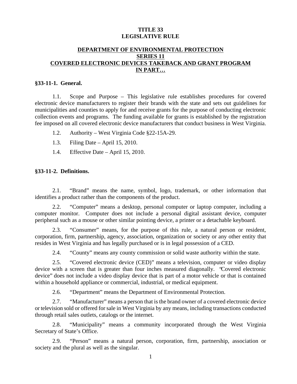#### **TITLE 33 LEGISLATIVE RULE**

#### **DEPARTMENT OF ENVIRONMENTAL PROTECTION SERIES 11 COVERED ELECTRONIC DEVICES TAKEBACK AND GRANT PROGRAM IN PART…**

#### **§33-11-1. General.**

1.1. Scope and Purpose – This legislative rule establishes procedures for covered electronic device manufacturers to register their brands with the state and sets out guidelines for municipalities and counties to apply for and receive grants for the purpose of conducting electronic collection events and programs. The funding available for grants is established by the registration fee imposed on all covered electronic device manufacturers that conduct business in West Virginia.

- 1.2. Authority West Virginia Code §22-15A-29.
- 1.3. Filing Date April 15, 2010.
- 1.4. Effective Date April 15, 2010.

#### **§33-11-2. Definitions.**

2.1. "Brand" means the name, symbol, logo, trademark, or other information that identifies a product rather than the components of the product.

2.2. "Computer" means a desktop, personal computer or laptop computer, including a computer monitor. Computer does not include a personal digital assistant device, computer peripheral such as a mouse or other similar pointing device, a printer or a detachable keyboard.

2.3. "Consumer" means, for the purpose of this rule, a natural person or resident, corporation, firm, partnership, agency, association, organization or society or any other entity that resides in West Virginia and has legally purchased or is in legal possession of a CED.

2.4. "County" means any county commission or solid waste authority within the state.

2.5. "Covered electronic device (CED)" means a television, computer or video display device with a screen that is greater than four inches measured diagonally. "Covered electronic device" does not include a video display device that is part of a motor vehicle or that is contained within a household appliance or commercial, industrial, or medical equipment.

2.6. "Department" means the Department of Environmental Protection.

2.7. "Manufacturer" means a person that is the brand owner of a covered electronic device or television sold or offered for sale in West Virginia by any means, including transactions conducted through retail sales outlets, catalogs or the internet.

2.8. "Municipality" means a community incorporated through the West Virginia Secretary of State's Office.

2.9. "Person" means a natural person, corporation, firm, partnership, association or society and the plural as well as the singular.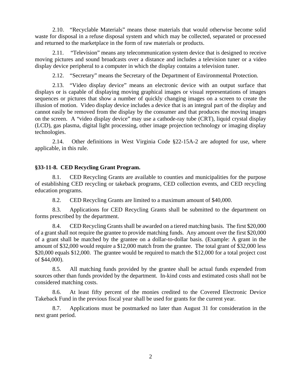2.10. "Recyclable Materials" means those materials that would otherwise become solid waste for disposal in a refuse disposal system and which may be collected, separated or processed and returned to the marketplace in the form of raw materials or products.

2.11. "Television" means any telecommunication system device that is designed to receive moving pictures and sound broadcasts over a distance and includes a television tuner or a video display device peripheral to a computer in which the display contains a television tuner.

2.12. "Secretary" means the Secretary of the Department of Environmental Protection.

2.13. "Video display device" means an electronic device with an output surface that displays or is capable of displaying moving graphical images or visual representations of images sequences or pictures that show a number of quickly changing images on a screen to create the illusion of motion. Video display device includes a device that is an integral part of the display and cannot easily be removed from the display by the consumer and that produces the moving images on the screen. A "video display device" may use a cathode-ray tube (CRT), liquid crystal display (LCD), gas plasma, digital light processing, other image projection technology or imaging display technologies.

2.14. Other definitions in West Virginia Code §22-15A-2 are adopted for use, where applicable, in this rule.

#### **§33-11-8. CED Recycling Grant Program.**

8.1. CED Recycling Grants are available to counties and municipalities for the purpose of establishing CED recycling or takeback programs, CED collection events, and CED recycling education programs.

8.2. CED Recycling Grants are limited to a maximum amount of \$40,000.

8.3. Applications for CED Recycling Grants shall be submitted to the department on forms prescribed by the department.

8.4. CED Recycling Grants shall be awarded on a tiered matching basis. The first \$20,000 of a grant shall not require the grantee to provide matching funds. Any amount over the first \$20,000 of a grant shall be matched by the grantee on a dollar-to-dollar basis. (Example: A grant in the amount of \$32,000 would require a \$12,000 match from the grantee. The total grant of \$32,000 less \$20,000 equals \$12,000. The grantee would be required to match the \$12,000 for a total project cost of \$44,000).

8.5. All matching funds provided by the grantee shall be actual funds expended from sources other than funds provided by the department. In-kind costs and estimated costs shall not be considered matching costs.

8.6. At least fifty percent of the monies credited to the Covered Electronic Device Takeback Fund in the previous fiscal year shall be used for grants for the current year.

8.7. Applications must be postmarked no later than August 31 for consideration in the next grant period.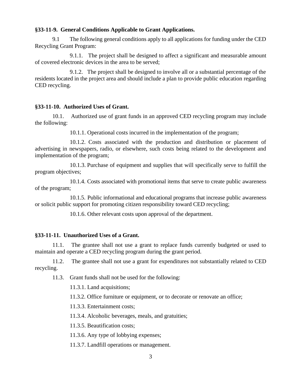#### **§33-11-9. General Conditions Applicable to Grant Applications.**

9.1 The following general conditions apply to all applications for funding under the CED Recycling Grant Program:

9.1.1. The project shall be designed to affect a significant and measurable amount of covered electronic devices in the area to be served;

9.1.2. The project shall be designed to involve all or a substantial percentage of the residents located in the project area and should include a plan to provide public education regarding CED recycling.

#### **§33-11-10. Authorized Uses of Grant.**

10.1. Authorized use of grant funds in an approved CED recycling program may include the following:

10.1.1. Operational costs incurred in the implementation of the program;

10.1.2. Costs associated with the production and distribution or placement of advertising in newspapers, radio, or elsewhere, such costs being related to the development and implementation of the program;

10.1.3. Purchase of equipment and supplies that will specifically serve to fulfill the program objectives;

10.1.4. Costs associated with promotional items that serve to create public awareness of the program;

10.1.5. Public informational and educational programs that increase public awareness or solicit public support for promoting citizen responsibility toward CED recycling;

10.1.6. Other relevant costs upon approval of the department.

#### **§33-11-11. Unauthorized Uses of a Grant.**

11.1. The grantee shall not use a grant to replace funds currently budgeted or used to maintain and operate a CED recycling program during the grant period.

11.2. The grantee shall not use a grant for expenditures not substantially related to CED recycling.

11.3. Grant funds shall not be used for the following:

11.3.1. Land acquisitions;

11.3.2. Office furniture or equipment, or to decorate or renovate an office;

11.3.3. Entertainment costs;

11.3.4. Alcoholic beverages, meals, and gratuities;

11.3.5. Beautification costs;

11.3.6. Any type of lobbying expenses;

11.3.7. Landfill operations or management.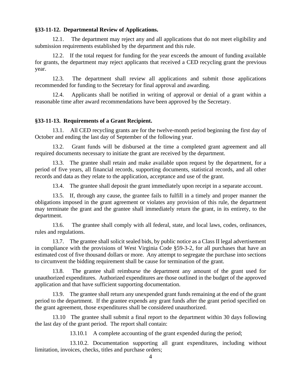#### **§33-11-12. Departmental Review of Applications.**

12.1. The department may reject any and all applications that do not meet eligibility and submission requirements established by the department and this rule.

12.2. If the total request for funding for the year exceeds the amount of funding available for grants, the department may reject applicants that received a CED recycling grant the previous year.

12.3. The department shall review all applications and submit those applications recommended for funding to the Secretary for final approval and awarding.

12.4. Applicants shall be notified in writing of approval or denial of a grant within a reasonable time after award recommendations have been approved by the Secretary.

#### **§33-11-13. Requirements of a Grant Recipient.**

13.1. All CED recycling grants are for the twelve-month period beginning the first day of October and ending the last day of September of the following year.

13.2. Grant funds will be disbursed at the time a completed grant agreement and all required documents necessary to initiate the grant are received by the department.

13.3. The grantee shall retain and make available upon request by the department, for a period of five years, all financial records, supporting documents, statistical records, and all other records and data as they relate to the application, acceptance and use of the grant.

13.4. The grantee shall deposit the grant immediately upon receipt in a separate account.

13.5. If, through any cause, the grantee fails to fulfill in a timely and proper manner the obligations imposed in the grant agreement or violates any provision of this rule, the department may terminate the grant and the grantee shall immediately return the grant, in its entirety, to the department.

13.6. The grantee shall comply with all federal, state, and local laws, codes, ordinances, rules and regulations.

13.7. The grantee shall solicit sealed bids, by public notice as a Class II legal advertisement in compliance with the provisions of West Virginia Code §59-3-2, for all purchases that have an estimated cost of five thousand dollars or more. Any attempt to segregate the purchase into sections to circumvent the bidding requirement shall be cause for termination of the grant.

13.8. The grantee shall reimburse the department any amount of the grant used for unauthorized expenditures. Authorized expenditures are those outlined in the budget of the approved application and that have sufficient supporting documentation.

13.9. The grantee shall return any unexpended grant funds remaining at the end of the grant period to the department. If the grantee expends any grant funds after the grant period specified on the grant agreement, those expenditures shall be considered unauthorized.

13.10 The grantee shall submit a final report to the department within 30 days following the last day of the grant period. The report shall contain:

13.10.1 A complete accounting of the grant expended during the period;

13.10.2. Documentation supporting all grant expenditures, including without limitation, invoices, checks, titles and purchase orders;